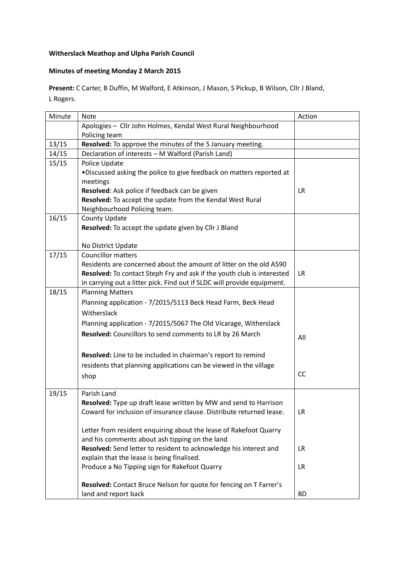## **Witherslack Meathop and Ulpha Parish Council**

## **Minutes of meeting Monday 2 March 2015**

**Present:** C Carter, B Duffin, M Walford, E Atkinson, J Mason, S Pickup, B Wilson, Cllr J Bland, L Rogers.

| Minute | <b>Note</b>                                                             | Action    |
|--------|-------------------------------------------------------------------------|-----------|
|        | Apologies - Cllr John Holmes, Kendal West Rural Neighbourhood           |           |
|        | Policing team                                                           |           |
| 13/15  | Resolved: To approve the minutes of the 5 January meeting.              |           |
| 14/15  | Declaration of interests - M Walford (Parish Land)                      |           |
| 15/15  | Police Update                                                           |           |
|        | . Discussed asking the police to give feedback on matters reported at   |           |
|        | meetings                                                                |           |
|        | Resolved: Ask police if feedback can be given                           | <b>LR</b> |
|        | Resolved: To accept the update from the Kendal West Rural               |           |
|        | Neighbourhood Policing team.                                            |           |
| 16/15  | County Update                                                           |           |
|        | Resolved: To accept the update given by Cllr J Bland                    |           |
|        |                                                                         |           |
|        | No District Update                                                      |           |
| 17/15  | <b>Councillor matters</b>                                               |           |
|        | Residents are concerned about the amount of litter on the old A590      |           |
|        | Resolved: To contact Steph Fry and ask if the youth club is interested  | LR.       |
|        | in carrying out a litter pick. Find out if SLDC will provide equipment. |           |
| 18/15  | <b>Planning Matters</b>                                                 |           |
|        | Planning application - 7/2015/5113 Beck Head Farm, Beck Head            |           |
|        | Witherslack                                                             |           |
|        | Planning application - 7/2015/5067 The Old Vicarage, Witherslack        |           |
|        | Resolved: Councillors to send comments to LR by 26 March                | All       |
|        |                                                                         |           |
|        | Resolved: Line to be included in chairman's report to remind            |           |
|        | residents that planning applications can be viewed in the village       |           |
|        |                                                                         | CC        |
|        | shop                                                                    |           |
| 19/15  | Parish Land                                                             |           |
|        | Resolved: Type up draft lease written by MW and send to Harrison        |           |
|        | Coward for inclusion of insurance clause. Distribute returned lease.    | LR        |
|        |                                                                         |           |
|        | Letter from resident enquiring about the lease of Rakefoot Quarry       |           |
|        | and his comments about ash tipping on the land                          |           |
|        | Resolved: Send letter to resident to acknowledge his interest and       | <b>LR</b> |
|        | explain that the lease is being finalised.                              |           |
|        | Produce a No Tipping sign for Rakefoot Quarry                           | LR        |
|        | Resolved: Contact Bruce Nelson for quote for fencing on T Farrer's      |           |
|        | land and report back                                                    | <b>BD</b> |